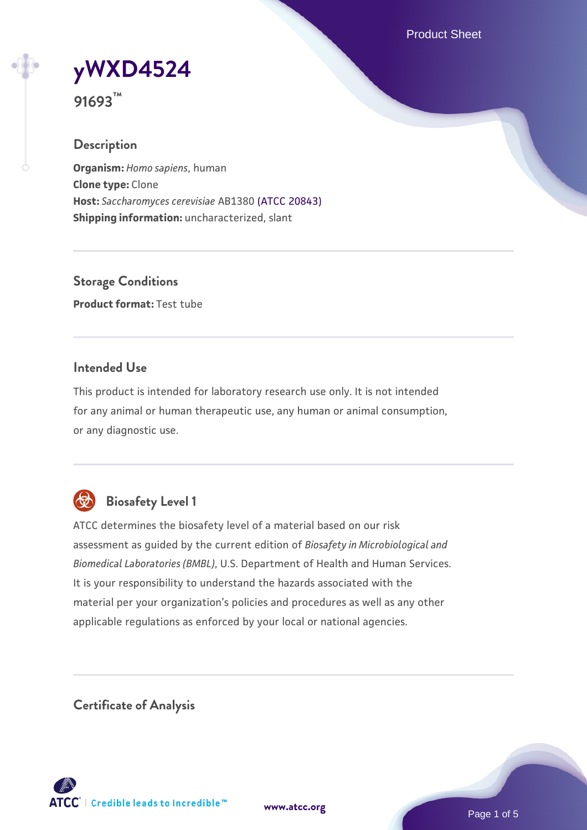Product Sheet

**[yWXD4524](https://www.atcc.org/products/91693)**

**91693™**

# **Description**

**Organism:** *Homo sapiens*, human **Clone type:** Clone **Host:** *Saccharomyces cerevisiae* AB1380 [\(ATCC 20843\)](https://www.atcc.org/products/20843) **Shipping information:** uncharacterized, slant

**Storage Conditions Product format:** Test tube

# **Intended Use**

This product is intended for laboratory research use only. It is not intended for any animal or human therapeutic use, any human or animal consumption, or any diagnostic use.



# **Biosafety Level 1**

ATCC determines the biosafety level of a material based on our risk assessment as guided by the current edition of *Biosafety in Microbiological and Biomedical Laboratories (BMBL)*, U.S. Department of Health and Human Services. It is your responsibility to understand the hazards associated with the material per your organization's policies and procedures as well as any other applicable regulations as enforced by your local or national agencies.

**Certificate of Analysis**

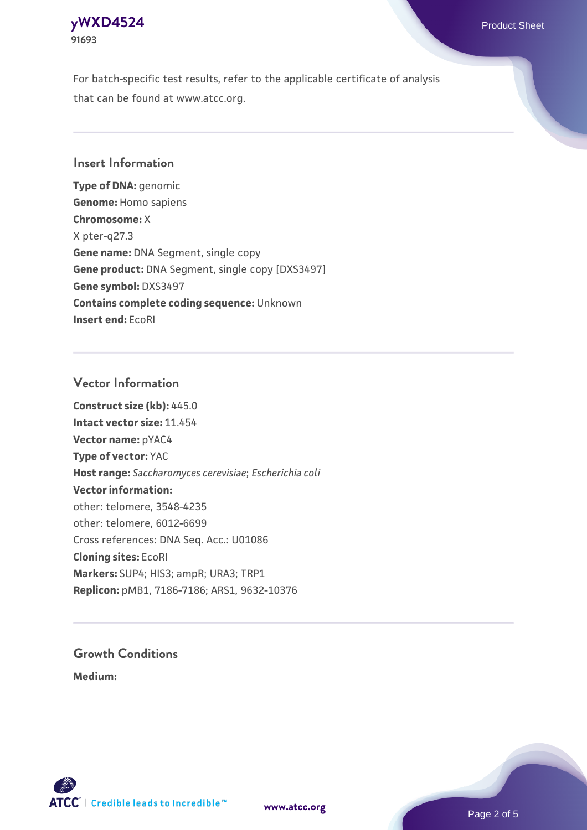# **[yWXD4524](https://www.atcc.org/products/91693)** Product Sheet **91693**

For batch-specific test results, refer to the applicable certificate of analysis that can be found at www.atcc.org.

# **Insert Information**

**Type of DNA:** genomic **Genome:** Homo sapiens **Chromosome:** X X pter-q27.3 **Gene name:** DNA Segment, single copy **Gene product:** DNA Segment, single copy [DXS3497] **Gene symbol:** DXS3497 **Contains complete coding sequence:** Unknown **Insert end:** EcoRI

#### **Vector Information**

**Construct size (kb):** 445.0 **Intact vector size:** 11.454 **Vector name:** pYAC4 **Type of vector:** YAC **Host range:** *Saccharomyces cerevisiae*; *Escherichia coli* **Vector information:** other: telomere, 3548-4235 other: telomere, 6012-6699 Cross references: DNA Seq. Acc.: U01086 **Cloning sites:** EcoRI **Markers:** SUP4; HIS3; ampR; URA3; TRP1 **Replicon:** pMB1, 7186-7186; ARS1, 9632-10376

# **Growth Conditions**

**Medium:** 



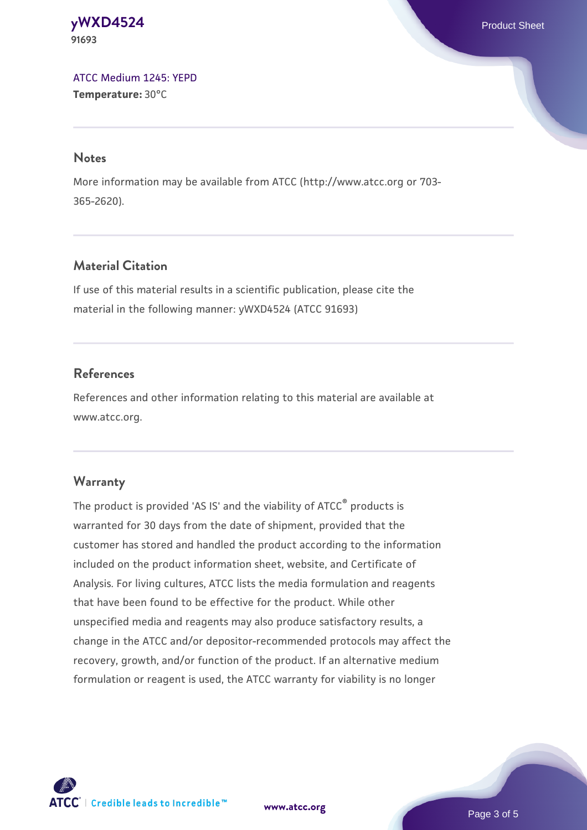#### **[yWXD4524](https://www.atcc.org/products/91693)** Product Sheet **91693**

[ATCC Medium 1245: YEPD](https://www.atcc.org/-/media/product-assets/documents/microbial-media-formulations/1/2/4/5/atcc-medium-1245.pdf?rev=705ca55d1b6f490a808a965d5c072196) **Temperature:** 30°C

#### **Notes**

More information may be available from ATCC (http://www.atcc.org or 703- 365-2620).

# **Material Citation**

If use of this material results in a scientific publication, please cite the material in the following manner: yWXD4524 (ATCC 91693)

# **References**

References and other information relating to this material are available at www.atcc.org.

### **Warranty**

The product is provided 'AS IS' and the viability of ATCC® products is warranted for 30 days from the date of shipment, provided that the customer has stored and handled the product according to the information included on the product information sheet, website, and Certificate of Analysis. For living cultures, ATCC lists the media formulation and reagents that have been found to be effective for the product. While other unspecified media and reagents may also produce satisfactory results, a change in the ATCC and/or depositor-recommended protocols may affect the recovery, growth, and/or function of the product. If an alternative medium formulation or reagent is used, the ATCC warranty for viability is no longer



**[www.atcc.org](http://www.atcc.org)**

Page 3 of 5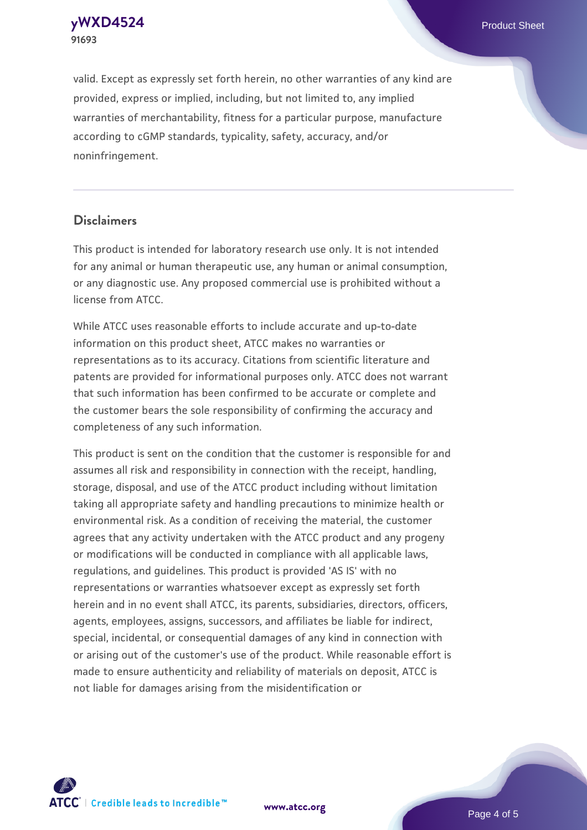**[yWXD4524](https://www.atcc.org/products/91693)** Product Sheet **91693**

valid. Except as expressly set forth herein, no other warranties of any kind are provided, express or implied, including, but not limited to, any implied warranties of merchantability, fitness for a particular purpose, manufacture according to cGMP standards, typicality, safety, accuracy, and/or noninfringement.

#### **Disclaimers**

This product is intended for laboratory research use only. It is not intended for any animal or human therapeutic use, any human or animal consumption, or any diagnostic use. Any proposed commercial use is prohibited without a license from ATCC.

While ATCC uses reasonable efforts to include accurate and up-to-date information on this product sheet, ATCC makes no warranties or representations as to its accuracy. Citations from scientific literature and patents are provided for informational purposes only. ATCC does not warrant that such information has been confirmed to be accurate or complete and the customer bears the sole responsibility of confirming the accuracy and completeness of any such information.

This product is sent on the condition that the customer is responsible for and assumes all risk and responsibility in connection with the receipt, handling, storage, disposal, and use of the ATCC product including without limitation taking all appropriate safety and handling precautions to minimize health or environmental risk. As a condition of receiving the material, the customer agrees that any activity undertaken with the ATCC product and any progeny or modifications will be conducted in compliance with all applicable laws, regulations, and guidelines. This product is provided 'AS IS' with no representations or warranties whatsoever except as expressly set forth herein and in no event shall ATCC, its parents, subsidiaries, directors, officers, agents, employees, assigns, successors, and affiliates be liable for indirect, special, incidental, or consequential damages of any kind in connection with or arising out of the customer's use of the product. While reasonable effort is made to ensure authenticity and reliability of materials on deposit, ATCC is not liable for damages arising from the misidentification or



**[www.atcc.org](http://www.atcc.org)**

Page 4 of 5